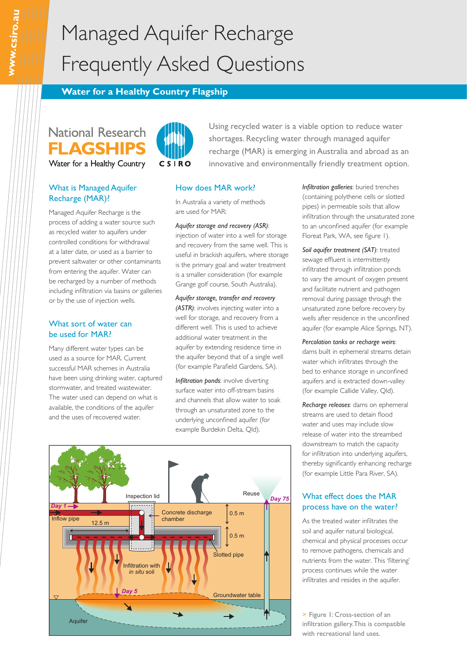# Managed Aquifer Recharge Frequently Asked Questions

## **Water for a Healthy Country Flagship**

## **National Research FLAGSHIPS** Water for a Healthy Country

## What is Managed Aquifer Recharge (MAR)?

Managed Aquifer Recharge is the process of adding a water source such as recycled water to aquifers under controlled conditions for withdrawal at a later date, or used as a barrier to prevent saltwater or other contaminants from entering the aquifer. Water can be recharged by a number of methods including infiltration via basins or galleries or by the use of injection wells.

### What sort of water can be used for MAR?

Many different water types can be used as a source for MAR. Current successful MAR schemes in Australia have been using drinking water, captured stormwater, and treated wastewater. The water used can depend on what is available, the conditions of the aquifer and the uses of recovered water.



Using recycled water is a viable option to reduce water shortages. Recycling water through managed aquifer recharge (MAR) is emerging in Australia and abroad as an innovative and environmentally friendly treatment option.

#### How does MAR work?

In Australia a variety of methods are used for MAR:

#### *Aquifer storage and recovery (ASR)*:

injection of water into a well for storage and recovery from the same well. This is useful in brackish aquifers, where storage is the primary goal and water treatment is a smaller consideration (for example Grange golf course, South Australia).

*Aquifer storage, transfer and recovery (ASTR)*: involves injecting water into a well for storage, and recovery from a different well. This is used to achieve additional water treatment in the aquifer by extending residence time in the aquifer beyond that of a single well (for example Parafield Gardens, SA).

*Infiltration ponds*: involve diverting surface water into off-stream basins and channels that allow water to soak through an unsaturated zone to the underlying unconfined aquifer (for example Burdekin Delta, Qld).



*Soil aquifer treatment (SAT)*: treated sewage effluent is intermittently infiltrated through infiltration ponds to vary the amount of oxygen present and facilitate nutrient and pathogen removal during passage through the unsaturated zone before recovery by wells after residence in the unconfined aquifer (for example Alice Springs, NT).

*Percolation tanks or recharge weirs*: dams built in ephemeral streams detain water which infiltrates through the bed to enhance storage in unconfined aquifers and is extracted down-valley (for example Callide Valley, Qld).

*Recharge releases*: dams on ephemeral streams are used to detain flood water and uses may include slow release of water into the streambed downstream to match the capacity for infiltration into underlying aquifers, thereby significantly enhancing recharge (for example Little Para River, SA).

## What effect does the MAR process have on the water?

As the treated water infiltrates the soil and aquifer natural biological, chemical and physical processes occur to remove pathogens, chemicals and nutrients from the water. This 'filtering' process continues while the water infiltrates and resides in the aquifer.

> Figure 1: Cross-section of an infiltration gallery. This is compatible with recreational land uses.